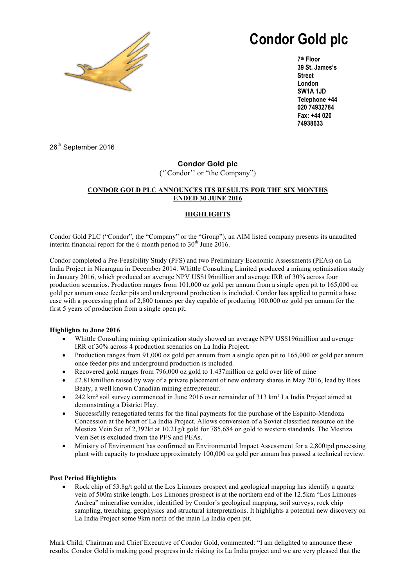

# **Condor Gold plc**

**7th Floor 39 St. James's Street London SW1A 1JD Telephone +44 020 74932784 Fax: +44 020 74938633**

26<sup>th</sup> September 2016

# **Condor Gold plc**

(''Condor'' or "the Company")

## **CONDOR GOLD PLC ANNOUNCES ITS RESULTS FOR THE SIX MONTHS ENDED 30 JUNE 2016**

# **HIGHLIGHTS**

Condor Gold PLC ("Condor", the "Company" or the "Group"), an AIM listed company presents its unaudited interim financial report for the 6 month period to  $30<sup>th</sup>$  June 2016.

Condor completed a Pre-Feasibility Study (PFS) and two Preliminary Economic Assessments (PEAs) on La India Project in Nicaragua in December 2014. Whittle Consulting Limited produced a mining optimisation study in January 2016, which produced an average NPV US\$196million and average IRR of 30% across four production scenarios. Production ranges from 101,000 oz gold per annum from a single open pit to 165,000 oz gold per annum once feeder pits and underground production is included. Condor has applied to permit a base case with a processing plant of 2,800 tonnes per day capable of producing 100,000 oz gold per annum for the first 5 years of production from a single open pit.

## **Highlights to June 2016**

- Whittle Consulting mining optimization study showed an average NPV US\$196million and average IRR of 30% across 4 production scenarios on La India Project.
- Production ranges from 91,000 oz gold per annum from a single open pit to 165,000 oz gold per annum once feeder pits and underground production is included.
- Recovered gold ranges from 796,000 oz gold to 1.437million oz gold over life of mine
- £2.818million raised by way of a private placement of new ordinary shares in May 2016, lead by Ross Beaty, a well known Canadian mining entrepreneur.
- 242 km² soil survey commenced in June 2016 over remainder of 313 km² La India Project aimed at demonstrating a District Play.
- Successfully renegotiated terms for the final payments for the purchase of the Espinito-Mendoza Concession at the heart of La India Project. Allows conversion of a Soviet classified resource on the Mestiza Vein Set of 2,392kt at 10.21g/t gold for 785,684 oz gold to western standards. The Mestiza Vein Set is excluded from the PFS and PEAs.
- Ministry of Environment has confirmed an Environmental Impact Assessment for a 2,800tpd processing plant with capacity to produce approximately 100,000 oz gold per annum has passed a technical review.

## **Post Period Highlights**

• Rock chip of 53.8g/t gold at the Los Limones prospect and geological mapping has identify a quartz vein of 500m strike length. Los Limones prospect is at the northern end of the 12.5km "Los Limones– Andrea" mineralise corridor, identified by Condor's geological mapping, soil surveys, rock chip sampling, trenching, geophysics and structural interpretations. It highlights a potential new discovery on La India Project some 9km north of the main La India open pit.

Mark Child, Chairman and Chief Executive of Condor Gold, commented: "I am delighted to announce these results. Condor Gold is making good progress in de risking its La India project and we are very pleased that the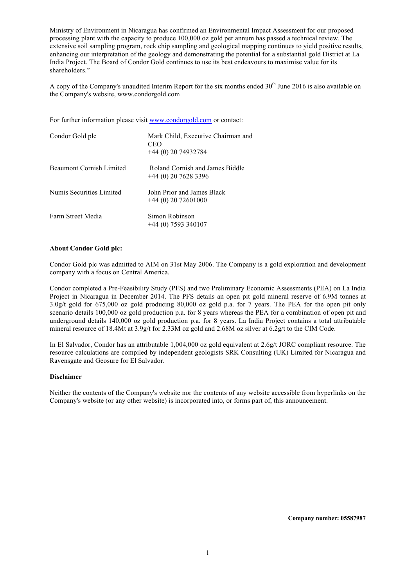Ministry of Environment in Nicaragua has confirmed an Environmental Impact Assessment for our proposed processing plant with the capacity to produce 100,000 oz gold per annum has passed a technical review. The extensive soil sampling program, rock chip sampling and geological mapping continues to yield positive results, enhancing our interpretation of the geology and demonstrating the potential for a substantial gold District at La India Project. The Board of Condor Gold continues to use its best endeavours to maximise value for its shareholders."

A copy of the Company's unaudited Interim Report for the six months ended  $30<sup>th</sup>$  June 2016 is also available on the Company's website, www.condorgold.com

For further information please visit www.condorgold.com or contact:

| Condor Gold plc                 | Mark Child, Executive Chairman and<br><b>CEO</b><br>$+44(0)$ 20 74932784 |
|---------------------------------|--------------------------------------------------------------------------|
| <b>Beaumont Cornish Limited</b> | Roland Cornish and James Biddle<br>$+44(0)$ 20 7628 3396                 |
| Numis Securities Limited        | John Prior and James Black<br>$+44(0)$ 20 72601000                       |
| Farm Street Media               | Simon Robinson<br>$+44(0)$ 7593 340107                                   |

#### **About Condor Gold plc:**

Condor Gold plc was admitted to AIM on 31st May 2006. The Company is a gold exploration and development company with a focus on Central America.

Condor completed a Pre-Feasibility Study (PFS) and two Preliminary Economic Assessments (PEA) on La India Project in Nicaragua in December 2014. The PFS details an open pit gold mineral reserve of 6.9M tonnes at 3.0g/t gold for 675,000 oz gold producing 80,000 oz gold p.a. for 7 years. The PEA for the open pit only scenario details 100,000 oz gold production p.a. for 8 years whereas the PEA for a combination of open pit and underground details 140,000 oz gold production p.a. for 8 years. La India Project contains a total attributable mineral resource of 18.4Mt at 3.9g/t for 2.33M oz gold and 2.68M oz silver at 6.2g/t to the CIM Code.

In El Salvador, Condor has an attributable 1,004,000 oz gold equivalent at 2.6g/t JORC compliant resource. The resource calculations are compiled by independent geologists SRK Consulting (UK) Limited for Nicaragua and Ravensgate and Geosure for El Salvador.

#### **Disclaimer**

Neither the contents of the Company's website nor the contents of any website accessible from hyperlinks on the Company's website (or any other website) is incorporated into, or forms part of, this announcement.

**Company number: 05587987**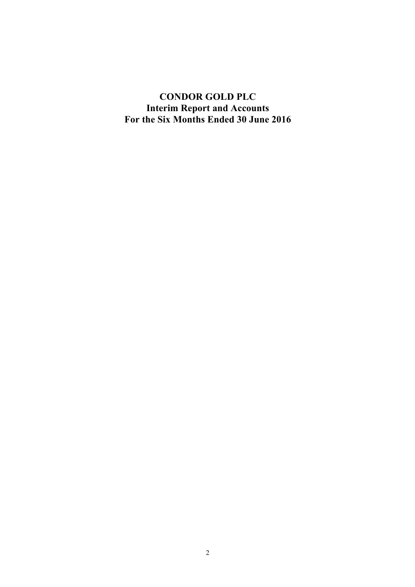**CONDOR GOLD PLC Interim Report and Accounts For the Six Months Ended 30 June 2016**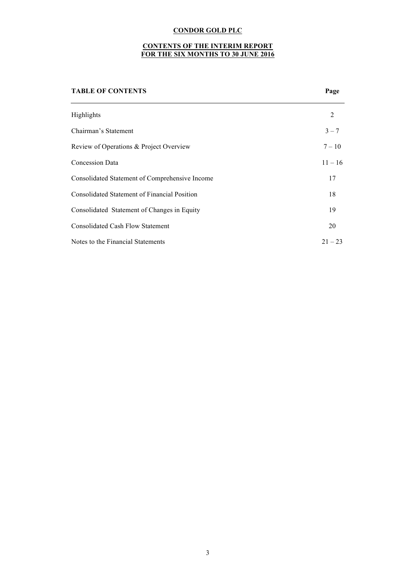#### **CONTENTS OF THE INTERIM REPORT FOR THE SIX MONTHS TO 30 JUNE 2016**

| <b>TABLE OF CONTENTS</b>                            | Page      |
|-----------------------------------------------------|-----------|
| Highlights                                          | 2         |
| Chairman's Statement                                | $3 - 7$   |
| Review of Operations & Project Overview             | $7 - 10$  |
| <b>Concession Data</b>                              | $11 - 16$ |
| Consolidated Statement of Comprehensive Income      | 17        |
| <b>Consolidated Statement of Financial Position</b> | 18        |
| Consolidated Statement of Changes in Equity         | 19        |
| <b>Consolidated Cash Flow Statement</b>             | 20        |
| Notes to the Financial Statements                   | $21 - 23$ |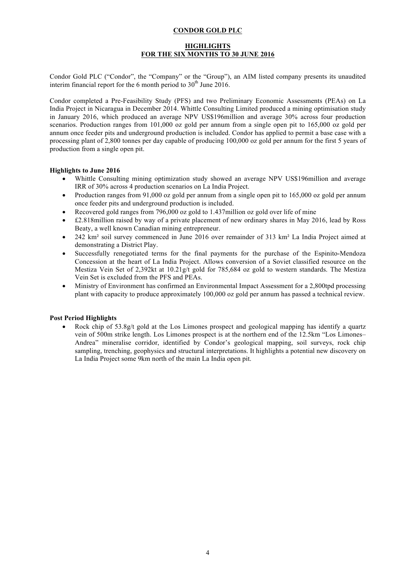#### **HIGHLIGHTS FOR THE SIX MONTHS TO 30 JUNE 2016**

Condor Gold PLC ("Condor", the "Company" or the "Group"), an AIM listed company presents its unaudited interim financial report for the 6 month period to  $30<sup>th</sup>$  June 2016.

Condor completed a Pre-Feasibility Study (PFS) and two Preliminary Economic Assessments (PEAs) on La India Project in Nicaragua in December 2014. Whittle Consulting Limited produced a mining optimisation study in January 2016, which produced an average NPV US\$196million and average 30% across four production scenarios. Production ranges from 101,000 oz gold per annum from a single open pit to 165,000 oz gold per annum once feeder pits and underground production is included. Condor has applied to permit a base case with a processing plant of 2,800 tonnes per day capable of producing 100,000 oz gold per annum for the first 5 years of production from a single open pit.

#### **Highlights to June 2016**

- Whittle Consulting mining optimization study showed an average NPV US\$196million and average IRR of 30% across 4 production scenarios on La India Project.
- Production ranges from 91,000 oz gold per annum from a single open pit to 165,000 oz gold per annum once feeder pits and underground production is included.
- Recovered gold ranges from 796,000 oz gold to 1.437million oz gold over life of mine
- £2.818million raised by way of a private placement of new ordinary shares in May 2016, lead by Ross Beaty, a well known Canadian mining entrepreneur.
- 242 km² soil survey commenced in June 2016 over remainder of 313 km² La India Project aimed at demonstrating a District Play.
- Successfully renegotiated terms for the final payments for the purchase of the Espinito-Mendoza Concession at the heart of La India Project. Allows conversion of a Soviet classified resource on the Mestiza Vein Set of 2,392kt at 10.21g/t gold for 785,684 oz gold to western standards. The Mestiza Vein Set is excluded from the PFS and PEAs.
- Ministry of Environment has confirmed an Environmental Impact Assessment for a 2,800tpd processing plant with capacity to produce approximately 100,000 oz gold per annum has passed a technical review.

#### **Post Period Highlights**

Rock chip of  $53.8g/t$  gold at the Los Limones prospect and geological mapping has identify a quartz vein of 500m strike length. Los Limones prospect is at the northern end of the 12.5km "Los Limones– Andrea" mineralise corridor, identified by Condor's geological mapping, soil surveys, rock chip sampling, trenching, geophysics and structural interpretations. It highlights a potential new discovery on La India Project some 9km north of the main La India open pit.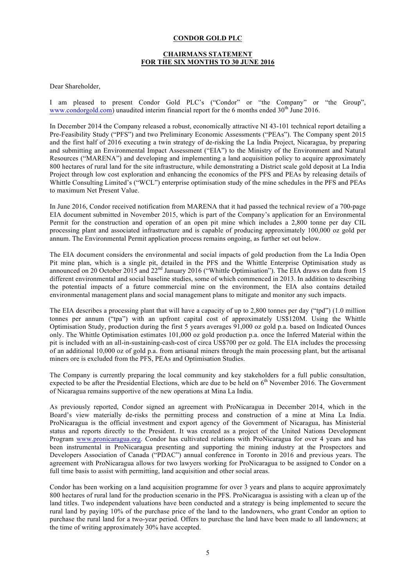#### **CHAIRMANS STATEMENT FOR THE SIX MONTHS TO 30 JUNE 2016**

Dear Shareholder,

I am pleased to present Condor Gold PLC's ("Condor" or "the Company" or "the Group", www.condorgold.com) unaudited interim financial report for the 6 months ended 30<sup>th</sup> June 2016.

In December 2014 the Company released a robust, economically attractive NI 43-101 technical report detailing a Pre-Feasibility Study ("PFS") and two Preliminary Economic Assessments ("PEAs"). The Company spent 2015 and the first half of 2016 executing a twin strategy of de-risking the La India Project, Nicaragua, by preparing and submitting an Environmental Impact Assessment ("EIA") to the Ministry of the Environment and Natural Resources ("MARENA") and developing and implementing a land acquisition policy to acquire approximately 800 hectares of rural land for the site infrastructure, while demonstrating a District scale gold deposit at La India Project through low cost exploration and enhancing the economics of the PFS and PEAs by releasing details of Whittle Consulting Limited's ("WCL") enterprise optimisation study of the mine schedules in the PFS and PEAs to maximum Net Present Value.

In June 2016, Condor received notification from MARENA that it had passed the technical review of a 700-page EIA document submitted in November 2015, which is part of the Company's application for an Environmental Permit for the construction and operation of an open pit mine which includes a 2,800 tonne per day CIL processing plant and associated infrastructure and is capable of producing approximately 100,000 oz gold per annum. The Environmental Permit application process remains ongoing, as further set out below.

The EIA document considers the environmental and social impacts of gold production from the La India Open Pit mine plan, which is a single pit, detailed in the PFS and the Whittle Enterprise Optimisation study as announced on 20 October 2015 and 22<sup>nd</sup> January 2016 ("Whittle Optimisation"). The EIA draws on data from 15 different environmental and social baseline studies, some of which commenced in 2013. In addition to describing the potential impacts of a future commercial mine on the environment, the EIA also contains detailed environmental management plans and social management plans to mitigate and monitor any such impacts.

The EIA describes a processing plant that will have a capacity of up to 2,800 tonnes per day ("tpd") (1.0 million tonnes per annum ("tpa") with an upfront capital cost of approximately US\$120M. Using the Whittle Optimisation Study, production during the first 5 years averages 91,000 oz gold p.a. based on Indicated Ounces only. The Whittle Optimisation estimates 101,000 oz gold production p.a. once the Inferred Material within the pit is included with an all-in-sustaining-cash-cost of circa US\$700 per oz gold. The EIA includes the processing of an additional 10,000 oz of gold p.a. from artisanal miners through the main processing plant, but the artisanal miners ore is excluded from the PFS, PEAs and Optimisation Studies.

The Company is currently preparing the local community and key stakeholders for a full public consultation, expected to be after the Presidential Elections, which are due to be held on  $6<sup>th</sup>$  November 2016. The Government of Nicaragua remains supportive of the new operations at Mina La India.

As previously reported, Condor signed an agreement with ProNicaragua in December 2014, which in the Board's view materially de-risks the permitting process and construction of a mine at Mina La India. ProNicaragua is the official investment and export agency of the Government of Nicaragua, has Ministerial status and reports directly to the President. It was created as a project of the United Nations Development Program www.pronicaragua.org. Condor has cultivated relations with ProNicaragua for over 4 years and has been instrumental in ProNicaragua presenting and supporting the mining industry at the Prospectors and Developers Association of Canada ("PDAC") annual conference in Toronto in 2016 and previous years. The agreement with ProNicaragua allows for two lawyers working for ProNicaragua to be assigned to Condor on a full time basis to assist with permitting, land acquisition and other social areas.

Condor has been working on a land acquisition programme for over 3 years and plans to acquire approximately 800 hectares of rural land for the production scenario in the PFS. ProNicaragua is assisting with a clean up of the land titles. Two independent valuations have been conducted and a strategy is being implemented to secure the rural land by paying 10% of the purchase price of the land to the landowners, who grant Condor an option to purchase the rural land for a two-year period. Offers to purchase the land have been made to all landowners; at the time of writing approximately 30% have accepted.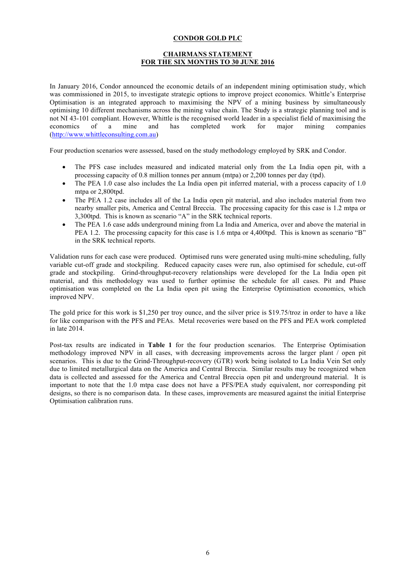#### **CHAIRMANS STATEMENT FOR THE SIX MONTHS TO 30 JUNE 2016**

In January 2016, Condor announced the economic details of an independent mining optimisation study, which was commissioned in 2015, to investigate strategic options to improve project economics. Whittle's Enterprise Optimisation is an integrated approach to maximising the NPV of a mining business by simultaneously optimising 10 different mechanisms across the mining value chain. The Study is a strategic planning tool and is not NI 43-101 compliant. However, Whittle is the recognised world leader in a specialist field of maximising the economics of a mine and has completed work for major mining companies (http://www.whittleconsulting.com.au)

Four production scenarios were assessed, based on the study methodology employed by SRK and Condor.

- The PFS case includes measured and indicated material only from the La India open pit, with a processing capacity of 0.8 million tonnes per annum (mtpa) or 2,200 tonnes per day (tpd).
- The PEA 1.0 case also includes the La India open pit inferred material, with a process capacity of 1.0 mtpa or 2,800tpd.
- The PEA 1.2 case includes all of the La India open pit material, and also includes material from two nearby smaller pits, America and Central Breccia. The processing capacity for this case is 1.2 mtpa or 3,300tpd. This is known as scenario "A" in the SRK technical reports.
- The PEA 1.6 case adds underground mining from La India and America, over and above the material in PEA 1.2. The processing capacity for this case is 1.6 mtpa or 4,400tpd. This is known as scenario "B" in the SRK technical reports.

Validation runs for each case were produced. Optimised runs were generated using multi-mine scheduling, fully variable cut-off grade and stockpiling. Reduced capacity cases were run, also optimised for schedule, cut-off grade and stockpiling. Grind-throughput-recovery relationships were developed for the La India open pit material, and this methodology was used to further optimise the schedule for all cases. Pit and Phase optimisation was completed on the La India open pit using the Enterprise Optimisation economics, which improved NPV.

The gold price for this work is \$1,250 per troy ounce, and the silver price is \$19.75/troz in order to have a like for like comparison with the PFS and PEAs. Metal recoveries were based on the PFS and PEA work completed in late 2014.

Post-tax results are indicated in **Table 1** for the four production scenarios. The Enterprise Optimisation methodology improved NPV in all cases, with decreasing improvements across the larger plant / open pit scenarios. This is due to the Grind-Throughput-recovery (GTR) work being isolated to La India Vein Set only due to limited metallurgical data on the America and Central Breccia. Similar results may be recognized when data is collected and assessed for the America and Central Breccia open pit and underground material. It is important to note that the 1.0 mtpa case does not have a PFS/PEA study equivalent, nor corresponding pit designs, so there is no comparison data. In these cases, improvements are measured against the initial Enterprise Optimisation calibration runs.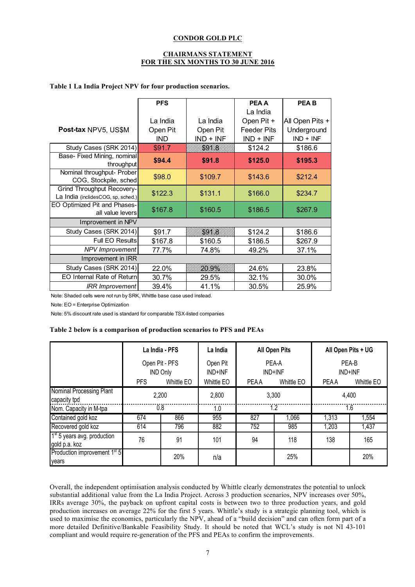#### **CHAIRMANS STATEMENT FOR THE SIX MONTHS TO 30 JUNE 2016**

#### **Table 1 La India Project NPV for four production scenarios.**

|                                                                         | <b>PFS</b>                         |                                     | <b>PEA A</b>                                    | <b>PEAB</b>                                   |
|-------------------------------------------------------------------------|------------------------------------|-------------------------------------|-------------------------------------------------|-----------------------------------------------|
|                                                                         |                                    |                                     | La India                                        |                                               |
| Post-tax NPV5, US\$M                                                    | La India<br>Open Pit<br><b>IND</b> | La India<br>Open Pit<br>$IND + INF$ | Open Pit +<br><b>Feeder Pits</b><br>$IND + INF$ | All Open Pits +<br>Underground<br>$IND + INF$ |
| Study Cases (SRK 2014)                                                  | \$91.7                             | S97.B                               | \$124.2                                         | \$186.6                                       |
| Base- Fixed Mining, nominal<br>throughput                               | \$94.4                             | \$91.8                              | \$125.0                                         | \$195.3                                       |
| Nominal throughput- Prober<br>COG, Stockpile, sched                     | \$98.0                             | \$109.7                             | \$143.6                                         | \$212.4                                       |
| <b>Grind Throughput Recovery-</b><br>La India (inclidesCOG, sp, sched.) | \$122.3                            | \$131.1                             | \$166.0                                         | \$234.7                                       |
| EO Optimized Pit and Phases-<br>all value levers                        | \$167.8                            | \$160.5                             | \$186.5                                         | \$267.9                                       |
| Improvement in NPV                                                      |                                    |                                     |                                                 |                                               |
| Study Cases (SRK 2014)                                                  | \$91.7                             | SYA &                               | \$124.2                                         | \$186.6                                       |
| <b>Full EO Results</b>                                                  | \$167.8                            | \$160.5                             | \$186.5                                         | \$267.9                                       |
| <b>NPV</b> Improvement                                                  | 77.7%                              | 74.8%                               | 49.2%                                           | 37.1%                                         |
| Improvement in IRR                                                      |                                    |                                     |                                                 |                                               |
| Study Cases (SRK 2014)                                                  | 22.0%                              | 20.9%                               | 24.6%                                           | 23.8%                                         |
| <b>EO Internal Rate of Returnl</b>                                      | 30.7%                              | 29.5%                               | 32.1%                                           | 30.0%                                         |
| <b>IRR</b> Improvement                                                  | 39.4%                              | 41.1%                               | 30.5%                                           | 25.9%                                         |

Note: Shaded cells were not run by SRK, Whittle base case used instead.

Note: EO = Enterprise Optimization

Note: 5% discount rate used is standard for comparable TSX-listed companies

#### **Table 2 below is a comparison of production scenarios to PFS and PEAs**

|                                                          |                                   | La India - PFS |                     | <b>All Open Pits</b> |            | All Open Pits + UG |            |  |
|----------------------------------------------------------|-----------------------------------|----------------|---------------------|----------------------|------------|--------------------|------------|--|
|                                                          | Open Pit - PFS<br><b>IND Only</b> |                | Open Pit<br>IND+INF | PEA-A<br>IND+INF     |            | PEA-B<br>IND+INF   |            |  |
|                                                          | <b>PFS</b>                        | Whittle EO     | Whittle EO          | <b>PEAA</b>          | Whittle EO | <b>PEAA</b>        | Whittle EO |  |
| Nominal Processing Plant<br>capacity tpd                 | 2,200                             |                | 2,800               | 3,300                |            | 4,400              |            |  |
| Nom. Capacity in M-tpa                                   |                                   | 0.8            | 1.0                 | 1.2                  |            | 1.6                |            |  |
| Contained gold koz                                       | 674                               | 866            | 955                 | 827                  | 1,066      | 1,313              | 1,554      |  |
| Recovered gold koz                                       | 614                               | 796            | 882                 | 752                  | 985        | 1,203              | 1,437      |  |
| 1 <sup>st</sup> 5 years avg. production<br>gold p.a. koz | 76                                | 91             | 101                 | 94                   | 118        | 138                | 165        |  |
| Production improvement 1 <sup>st</sup> 5<br>years        |                                   | 20%            | n/a                 |                      | 25%        |                    | 20%        |  |

Overall, the independent optimisation analysis conducted by Whittle clearly demonstrates the potential to unlock substantial additional value from the La India Project. Across 3 production scenarios, NPV increases over 50%, IRRs average 30%, the payback on upfront capital costs is between two to three production years, and gold production increases on average 22% for the first 5 years. Whittle's study is a strategic planning tool, which is used to maximise the economics, particularly the NPV, ahead of a "build decision" and can often form part of a more detailed Definitive/Bankable Feasibility Study. It should be noted that WCL's study is not NI 43-101 compliant and would require re-generation of the PFS and PEAs to confirm the improvements.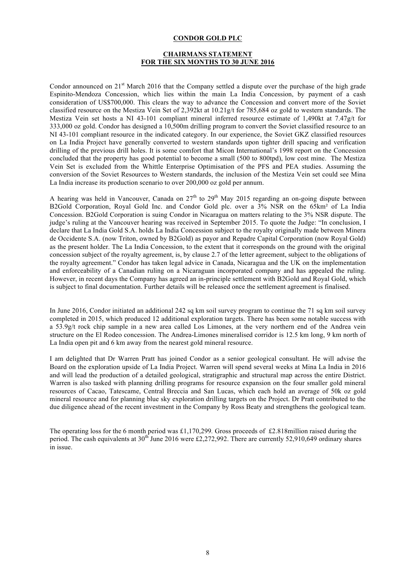#### **CHAIRMANS STATEMENT FOR THE SIX MONTHS TO 30 JUNE 2016**

Condor announced on  $21<sup>st</sup>$  March 2016 that the Company settled a dispute over the purchase of the high grade Espinito-Mendoza Concession, which lies within the main La India Concession, by payment of a cash consideration of US\$700,000. This clears the way to advance the Concession and convert more of the Soviet classified resource on the Mestiza Vein Set of 2,392kt at 10.21g/t for 785,684 oz gold to western standards. The Mestiza Vein set hosts a NI 43-101 compliant mineral inferred resource estimate of 1,490kt at 7.47g/t for 333,000 oz gold. Condor has designed a 10,500m drilling program to convert the Soviet classified resource to an NI 43-101 compliant resource in the indicated category. In our experience, the Soviet GKZ classified resources on La India Project have generally converted to western standards upon tighter drill spacing and verification drilling of the previous drill holes. It is some comfort that Micon International's 1998 report on the Concession concluded that the property has good potential to become a small (500 to 800tpd), low cost mine. The Mestiza Vein Set is excluded from the Whittle Enterprise Optimisation of the PFS and PEA studies. Assuming the conversion of the Soviet Resources to Western standards, the inclusion of the Mestiza Vein set could see Mina La India increase its production scenario to over 200,000 oz gold per annum.

A hearing was held in Vancouver, Canada on  $27<sup>th</sup>$  to  $29<sup>th</sup>$  May 2015 regarding an on-going dispute between B2Gold Corporation, Royal Gold Inc. and Condor Gold plc. over a 3% NSR on the 65km² of La India Concession. B2Gold Corporation is suing Condor in Nicaragua on matters relating to the 3% NSR dispute. The judge's ruling at the Vancouver hearing was received in September 2015. To quote the Judge: "In conclusion, I declare that La India Gold S.A. holds La India Concession subject to the royalty originally made between Minera de Occidente S.A. (now Triton, owned by B2Gold) as payor and Repadre Capital Corporation (now Royal Gold) as the present holder. The La India Concession, to the extent that it corresponds on the ground with the original concession subject of the royalty agreement, is, by clause 2.7 of the letter agreement, subject to the obligations of the royalty agreement." Condor has taken legal advice in Canada, Nicaragua and the UK on the implementation and enforceability of a Canadian ruling on a Nicaraguan incorporated company and has appealed the ruling. However, in recent days the Company has agreed an in-principle settlement with B2Gold and Royal Gold, which is subject to final documentation. Further details will be released once the settlement agreement is finalised.

In June 2016, Condor initiated an additional 242 sq km soil survey program to continue the 71 sq km soil survey completed in 2015, which produced 12 additional exploration targets. There has been some notable success with a 53.9g/t rock chip sample in a new area called Los Limones, at the very northern end of the Andrea vein structure on the El Rodeo concession. The Andrea-Limones mineralised corridor is 12.5 km long, 9 km north of La India open pit and 6 km away from the nearest gold mineral resource.

I am delighted that Dr Warren Pratt has joined Condor as a senior geological consultant. He will advise the Board on the exploration upside of La India Project. Warren will spend several weeks at Mina La India in 2016 and will lead the production of a detailed geological, stratigraphic and structural map across the entire District. Warren is also tasked with planning drilling programs for resource expansion on the four smaller gold mineral resources of Cacao, Tatescame, Central Breccia and San Lucas, which each hold an average of 50k oz gold mineral resource and for planning blue sky exploration drilling targets on the Project. Dr Pratt contributed to the due diligence ahead of the recent investment in the Company by Ross Beaty and strengthens the geological team.

The operating loss for the 6 month period was £1,170,299*.* Gross proceeds of £2.818million raised during the period. The cash equivalents at 30<sup>th</sup> June 2016 were £2,272,992. There are currently 52,910,649 ordinary shares in issue.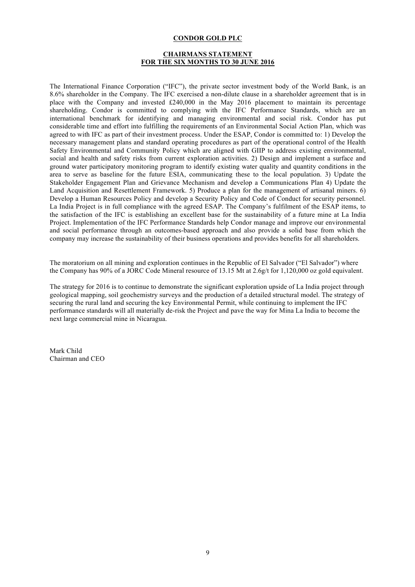#### **CHAIRMANS STATEMENT FOR THE SIX MONTHS TO 30 JUNE 2016**

The International Finance Corporation ("IFC"), the private sector investment body of the World Bank, is an 8.6% shareholder in the Company. The IFC exercised a non-dilute clause in a shareholder agreement that is in place with the Company and invested £240,000 in the May 2016 placement to maintain its percentage shareholding. Condor is committed to complying with the IFC Performance Standards, which are an international benchmark for identifying and managing environmental and social risk. Condor has put considerable time and effort into fulfilling the requirements of an Environmental Social Action Plan, which was agreed to with IFC as part of their investment process. Under the ESAP, Condor is committed to: 1) Develop the necessary management plans and standard operating procedures as part of the operational control of the Health Safety Environmental and Community Policy which are aligned with GIIP to address existing environmental, social and health and safety risks from current exploration activities. 2) Design and implement a surface and ground water participatory monitoring program to identify existing water quality and quantity conditions in the area to serve as baseline for the future ESIA, communicating these to the local population. 3) Update the Stakeholder Engagement Plan and Grievance Mechanism and develop a Communications Plan 4) Update the Land Acquisition and Resettlement Framework. 5) Produce a plan for the management of artisanal miners. 6) Develop a Human Resources Policy and develop a Security Policy and Code of Conduct for security personnel. La India Project is in full compliance with the agreed ESAP. The Company's fulfilment of the ESAP items, to the satisfaction of the IFC is establishing an excellent base for the sustainability of a future mine at La India Project. Implementation of the IFC Performance Standards help Condor manage and improve our environmental and social performance through an outcomes-based approach and also provide a solid base from which the company may increase the sustainability of their business operations and provides benefits for all shareholders.

The moratorium on all mining and exploration continues in the Republic of El Salvador ("El Salvador") where the Company has 90% of a JORC Code Mineral resource of 13.15 Mt at 2.6g/t for 1,120,000 oz gold equivalent.

The strategy for 2016 is to continue to demonstrate the significant exploration upside of La India project through geological mapping, soil geochemistry surveys and the production of a detailed structural model. The strategy of securing the rural land and securing the key Environmental Permit, while continuing to implement the IFC performance standards will all materially de-risk the Project and pave the way for Mina La India to become the next large commercial mine in Nicaragua.

Mark Child Chairman and CEO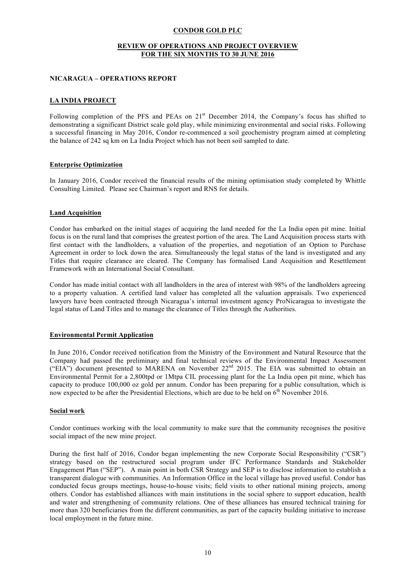#### **REVIEW OF OPERATIONS AND PROJECT OVERVIEW FOR THE SIX MONTHS TO 30 JUNE 2016**

#### **NICARAGUA – OPERATIONS REPORT**

## **LA INDIA PROJECT**

Following completion of the PFS and PEAs on 21<sup>st</sup> December 2014, the Company's focus has shifted to demonstrating a significant District scale gold play, while minimizing environmental and social risks. Following a successful financing in May 2016, Condor re-commenced a soil geochemistry program aimed at completing the balance of 242 sq km on La India Project which has not been soil sampled to date.

#### **Enterprise Optimization**

In January 2016, Condor received the financial results of the mining optimisation study completed by Whittle Consulting Limited. Please see Chairman's report and RNS for details.

#### **Land Acquisition**

Condor has embarked on the initial stages of acquiring the land needed for the La India open pit mine. Initial focus is on the rural land that comprises the greatest portion of the area. The Land Acquisition process starts with first contact with the landholders, a valuation of the properties, and negotiation of an Option to Purchase Agreement in order to lock down the area. Simultaneously the legal status of the land is investigated and any Titles that require clearance are cleared. The Company has formalised Land Acquisition and Resettlement Framework with an International Social Consultant.

Condor has made initial contact with all landholders in the area of interest with 98% of the landholders agreeing to a property valuation. A certified land valuer has completed all the valuation appraisals. Two experienced lawyers have been contracted through Nicaragua's internal investment agency ProNicaragua to investigate the legal status of Land Titles and to manage the clearance of Titles through the Authorities.

#### **Environmental Permit Application**

In June 2016, Condor received notification from the Ministry of the Environment and Natural Resource that the Company had passed the preliminary and final technical reviews of the Environmental Impact Assessment ("EIA") document presented to MARENA on November 22<sup>nd</sup> 2015. The EIA was submitted to obtain an Environmental Permit for a 2,800tpd or 1Mtpa CIL processing plant for the La India open pit mine, which has capacity to produce 100,000 oz gold per annum. Condor has been preparing for a public consultation, which is now expected to be after the Presidential Elections, which are due to be held on  $6<sup>th</sup>$  November 2016.

#### **Social work**

Condor continues working with the local community to make sure that the community recognises the positive social impact of the new mine project.

During the first half of 2016, Condor began implementing the new Corporate Social Responsibility ("CSR") strategy based on the restructured social program under IFC Performance Standards and Stakeholder Engagement Plan ("SEP"). A main point in both CSR Strategy and SEP is to disclose information to establish a transparent dialogue with communities. An Information Office in the local village has proved useful. Condor has conducted focus groups meetings, house-to-house visits; field visits to other national mining projects, among others. Condor has established alliances with main institutions in the social sphere to support education, health and water and strengthening of community relations. One of these alliances has ensured technical training for more than 320 beneficiaries from the different communities, as part of the capacity building initiative to increase local employment in the future mine.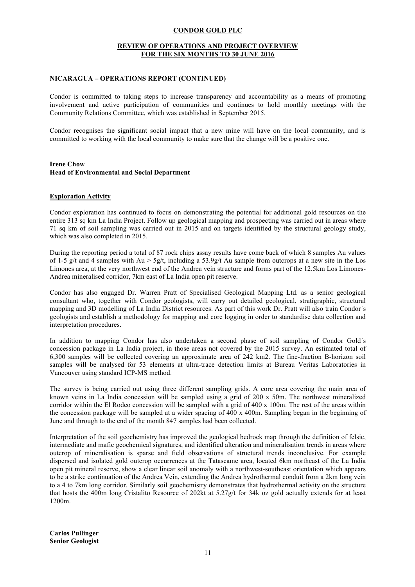#### **REVIEW OF OPERATIONS AND PROJECT OVERVIEW FOR THE SIX MONTHS TO 30 JUNE 2016**

#### **NICARAGUA – OPERATIONS REPORT (CONTINUED)**

Condor is committed to taking steps to increase transparency and accountability as a means of promoting involvement and active participation of communities and continues to hold monthly meetings with the Community Relations Committee, which was established in September 2015.

Condor recognises the significant social impact that a new mine will have on the local community, and is committed to working with the local community to make sure that the change will be a positive one.

#### **Irene Chow Head of Environmental and Social Department**

#### **Exploration Activity**

Condor exploration has continued to focus on demonstrating the potential for additional gold resources on the entire 313 sq km La India Project. Follow up geological mapping and prospecting was carried out in areas where 71 sq km of soil sampling was carried out in 2015 and on targets identified by the structural geology study, which was also completed in 2015.

During the reporting period a total of 87 rock chips assay results have come back of which 8 samples Au values of 1-5 g/t and 4 samples with  $Au > 5g/t$ , including a 53.9g/t Au sample from outcrops at a new site in the Los Limones area, at the very northwest end of the Andrea vein structure and forms part of the 12.5km Los Limones-Andrea mineralised corridor, 7km east of La India open pit reserve.

Condor has also engaged Dr. Warren Pratt of Specialised Geological Mapping Ltd. as a senior geological consultant who, together with Condor geologists, will carry out detailed geological, stratigraphic, structural mapping and 3D modelling of La India District resources. As part of this work Dr. Pratt will also train Condor´s geologists and establish a methodology for mapping and core logging in order to standardise data collection and interpretation procedures.

In addition to mapping Condor has also undertaken a second phase of soil sampling of Condor Gold´s concession package in La India project, in those areas not covered by the 2015 survey. An estimated total of 6,300 samples will be collected covering an approximate area of 242 km2. The fine-fraction B-horizon soil samples will be analysed for 53 elements at ultra-trace detection limits at Bureau Veritas Laboratories in Vancouver using standard ICP-MS method.

The survey is being carried out using three different sampling grids. A core area covering the main area of known veins in La India concession will be sampled using a grid of 200 x 50m. The northwest mineralized corridor within the El Rodeo concession will be sampled with a grid of 400 x 100m. The rest of the areas within the concession package will be sampled at a wider spacing of 400 x 400m. Sampling began in the beginning of June and through to the end of the month 847 samples had been collected.

Interpretation of the soil geochemistry has improved the geological bedrock map through the definition of felsic, intermediate and mafic geochemical signatures, and identified alteration and mineralisation trends in areas where outcrop of mineralisation is sparse and field observations of structural trends inconclusive. For example dispersed and isolated gold outcrop occurrences at the Tatascame area, located 6km northeast of the La India open pit mineral reserve, show a clear linear soil anomaly with a northwest-southeast orientation which appears to be a strike continuation of the Andrea Vein, extending the Andrea hydrothermal conduit from a 2km long vein to a 4 to 7km long corridor. Similarly soil geochemistry demonstrates that hydrothermal activity on the structure that hosts the 400m long Cristalito Resource of 202kt at 5.27g/t for 34k oz gold actually extends for at least 1200m.

**Carlos Pullinger Senior Geologist**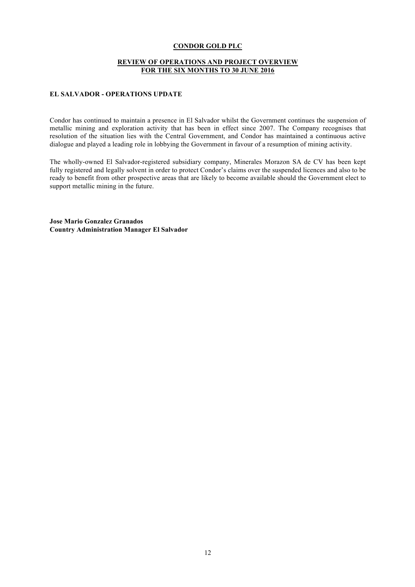#### **REVIEW OF OPERATIONS AND PROJECT OVERVIEW FOR THE SIX MONTHS TO 30 JUNE 2016**

#### **EL SALVADOR - OPERATIONS UPDATE**

Condor has continued to maintain a presence in El Salvador whilst the Government continues the suspension of metallic mining and exploration activity that has been in effect since 2007. The Company recognises that resolution of the situation lies with the Central Government, and Condor has maintained a continuous active dialogue and played a leading role in lobbying the Government in favour of a resumption of mining activity.

The wholly-owned El Salvador-registered subsidiary company, Minerales Morazon SA de CV has been kept fully registered and legally solvent in order to protect Condor's claims over the suspended licences and also to be ready to benefit from other prospective areas that are likely to become available should the Government elect to support metallic mining in the future.

**Jose Mario Gonzalez Granados Country Administration Manager El Salvador**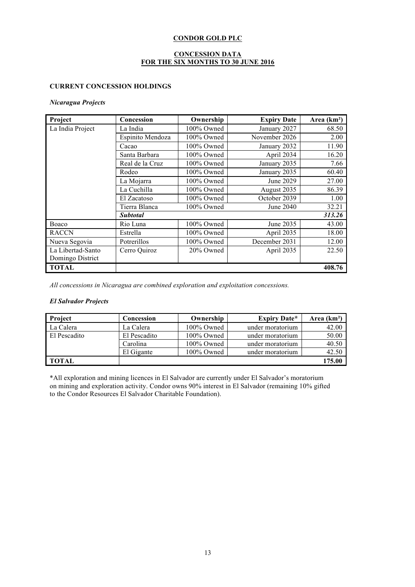## **CONCESSION DATA FOR THE SIX MONTHS TO 30 JUNE 2016**

## **CURRENT CONCESSION HOLDINGS**

## *Nicaragua Projects*

| Project           | Concession       | Ownership  | <b>Expiry Date</b> | Area (km <sup>2</sup> ) |
|-------------------|------------------|------------|--------------------|-------------------------|
| La India Project  | La India         | 100% Owned | January 2027       | 68.50                   |
|                   | Espinito Mendoza | 100% Owned | November 2026      | 2.00                    |
|                   | Cacao            | 100% Owned | January 2032       | 11.90                   |
|                   | Santa Barbara    | 100% Owned | April 2034         | 16.20                   |
|                   | Real de la Cruz  | 100% Owned | January 2035       | 7.66                    |
|                   | Rodeo            | 100% Owned | January 2035       | 60.40                   |
|                   | La Mojarra       | 100% Owned | June 2029          | 27.00                   |
|                   | La Cuchilla      | 100% Owned | August 2035        | 86.39                   |
|                   | El Zacatoso      | 100% Owned | October 2039       | 1.00                    |
|                   | Tierra Blanca    | 100% Owned | June 2040          | 32.21                   |
|                   | Subtotal         | 313.26     |                    |                         |
| Boaco             | Rio Luna         | 100% Owned | June 2035          | 43.00                   |
| <b>RACCN</b>      | Estrella         | 100% Owned | April 2035         | 18.00                   |
| Nueva Segovia     | Potrerillos      | 100% Owned | December 2031      | 12.00                   |
| La Libertad-Santo | Cerro Quiroz     | 20% Owned  | April 2035         | 22.50                   |
| Domingo District  |                  |            |                    |                         |
| <b>TOTAL</b>      |                  |            |                    | 408.76                  |

*All concessions in Nicaragua are combined exploration and exploitation concessions.*

## *El Salvador Projects*

| <b>Project</b> | Concession   | Ownership  | <b>Expiry Date*</b> | Area $(km2)$ |
|----------------|--------------|------------|---------------------|--------------|
| La Calera      | La Calera    | 100% Owned | under moratorium    | 42.00        |
| El Pescadito   | El Pescadito | 100% Owned | under moratorium    | 50.00        |
|                | Carolina     | 100% Owned | under moratorium    | 40.50        |
|                | El Gigante   | 100% Owned | under moratorium    | 42.50        |
| <b>TOTAL</b>   |              |            |                     | 175.00       |

\*All exploration and mining licences in El Salvador are currently under El Salvador's moratorium on mining and exploration activity. Condor owns 90% interest in El Salvador (remaining 10% gifted to the Condor Resources El Salvador Charitable Foundation).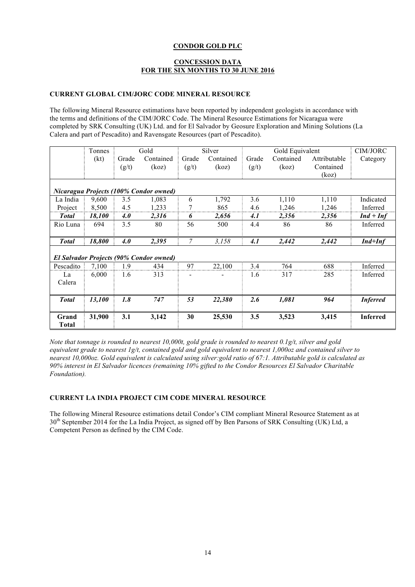#### **CONCESSION DATA FOR THE SIX MONTHS TO 30 JUNE 2016**

#### **CURRENT GLOBAL CIM/JORC CODE MINERAL RESOURCE**

The following Mineral Resource estimations have been reported by independent geologists in accordance with the terms and definitions of the CIM/JORC Code. The Mineral Resource Estimations for Nicaragua were completed by SRK Consulting (UK) Ltd. and for El Salvador by Geosure Exploration and Mining Solutions (La Calera and part of Pescadito) and Ravensgate Resources (part of Pescadito).

|                       | Tonnes |            | Gold                                           |                | Silver    |       | Gold Equivalent |              | CIM/JORC        |
|-----------------------|--------|------------|------------------------------------------------|----------------|-----------|-------|-----------------|--------------|-----------------|
|                       | (kt)   | Grade      | Contained                                      | Grade          | Contained | Grade | Contained       | Attributable | Category        |
|                       |        | (g/t)      | (koz)                                          | (g/t)          | (koz)     | (g/t) | (koz)           | Contained    |                 |
|                       |        |            |                                                |                |           |       |                 | (koz)        |                 |
|                       |        |            | Nicaragua Projects (100% Condor owned)         |                |           |       |                 |              |                 |
| La India              | 9,600  | 3.5        | 1,083                                          | 6              | 1,792     | 3.6   | 1,110           | 1,110        | Indicated       |
| Project               | 8,500  | 4.5        | 1,233                                          | 7              | 865       | 4.6   | 1,246           | 1,246        | Inferred        |
| <b>Total</b>          | 18,100 | 4.0        | 2,316                                          | 6              | 2,656     | 4.1   | 2,356           | 2,356        | $Ind + Inf$     |
| Rio Luna              | 694    | 3.5        | 80                                             | 56             | 500       | 4.4   | 86              | 86           | Inferred        |
| <b>Total</b>          | 18,800 | <b>4.0</b> | 2,395                                          | 7              | 3,158     | 4.1   | 2,442           | 2,442        | $Ind+Inf$       |
|                       |        |            |                                                |                |           |       |                 |              |                 |
|                       |        |            | <b>El Salvador Projects (90% Condor owned)</b> |                |           |       |                 |              |                 |
| Pescadito             | 7,100  | 1.9        | 434                                            | 97             | 22,100    | 3.4   | 764             | 688          | Inferred        |
| La<br>Calera          | 6,000  | 1.6        | 313                                            | $\overline{a}$ |           | 1.6   | 317             | 285          | Inferred        |
|                       |        |            |                                                |                |           |       |                 |              |                 |
| <b>Total</b>          | 13,100 | 1.8        | 747                                            | 53             | 22,380    | 2.6   | 1,081           | 964          | <b>Inferred</b> |
|                       |        |            |                                                |                |           |       |                 |              |                 |
| Grand<br><b>Total</b> | 31,900 | 3.1        | 3,142                                          | 30             | 25,530    | 3.5   | 3,523           | 3,415        | <b>Inferred</b> |

*Note that tonnage is rounded to nearest 10,000t, gold grade is rounded to nearest 0.1g/t, silver and gold equivalent grade to nearest 1g/t, contained gold and gold equivalent to nearest 1,000oz and contained silver to nearest 10,000oz. Gold equivalent is calculated using silver:gold ratio of 67:1. Attributable gold is calculated as 90% interest in El Salvador licences (remaining 10% gifted to the Condor Resources El Salvador Charitable Foundation).*

#### **CURRENT LA INDIA PROJECT CIM CODE MINERAL RESOURCE**

The following Mineral Resource estimations detail Condor's CIM compliant Mineral Resource Statement as at 30<sup>th</sup> September 2014 for the La India Project, as signed off by Ben Parsons of SRK Consulting (UK) Ltd, a Competent Person as defined by the CIM Code.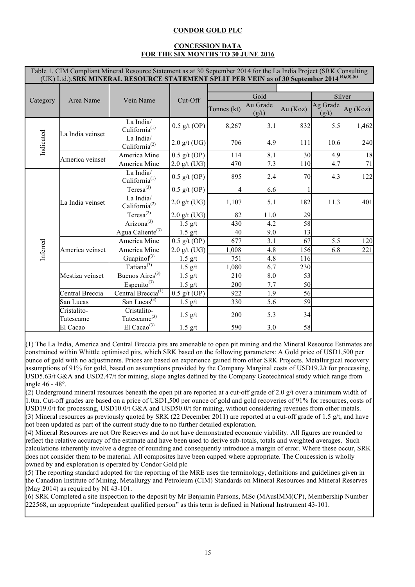## **CONCESSION DATA FOR THE SIX MONTHS TO 30 JUNE 2016**

|           | Table 1. CIM Compliant Mineral Resource Statement as at 30 September 2014 for the La India Project (SRK Consulting<br>(UK) Ltd.).SRK MINERAL RESOURCE STATEMENT SPLIT PER VEIN as of 30 September 2014 <sup>(4),(5),(6)</sup> |                                         |                |             |                   |          |                   |          |  |  |
|-----------|-------------------------------------------------------------------------------------------------------------------------------------------------------------------------------------------------------------------------------|-----------------------------------------|----------------|-------------|-------------------|----------|-------------------|----------|--|--|
|           |                                                                                                                                                                                                                               |                                         |                |             |                   |          |                   |          |  |  |
|           |                                                                                                                                                                                                                               |                                         |                |             | Gold<br>Silver    |          |                   |          |  |  |
| Category  | Area Name                                                                                                                                                                                                                     | Vein Name                               | Cut-Off        | Tonnes (kt) | Au Grade<br>(g/t) | Au (Koz) | Ag Grade<br>(g/t) | Ag (Koz) |  |  |
|           | La India veinset                                                                                                                                                                                                              | La India/<br>California <sup>(1)</sup>  | $0.5$ g/t (OP) | 8,267       | 3.1               | 832      | 5.5               | 1,462    |  |  |
| Indicated | La India/<br>California <sup>(2)</sup>                                                                                                                                                                                        | $2.0$ g/t (UG)                          | 706            | 4.9         | 111               | 10.6     | 240               |          |  |  |
|           | America veinset                                                                                                                                                                                                               | America Mine                            | $0.5$ g/t (OP) | 114         | 8.1               | 30       | 4.9               | 18       |  |  |
|           |                                                                                                                                                                                                                               | America Mine                            | $2.0$ g/t (UG) | 470         | 7.3               | 110      | 4.7               | 71       |  |  |
|           |                                                                                                                                                                                                                               | La India/<br>California <sup>(1)</sup>  | $0.5$ g/t (OP) | 895         | 2.4               | 70       | 4.3               | 122      |  |  |
|           | La India veinset                                                                                                                                                                                                              | Teresa $^{(3)}$                         | $0.5$ g/t (OP) | 4           | 6.6               |          |                   |          |  |  |
|           |                                                                                                                                                                                                                               | La India/<br>California <sup>(2)</sup>  | $2.0$ g/t (UG) | 1,107       | 5.1               | 182      | 11.3              | 401      |  |  |
|           |                                                                                                                                                                                                                               | Teresa $^{(2)}$                         | $2.0$ g/t (UG) | 82          | 11.0              | 29       |                   |          |  |  |
|           |                                                                                                                                                                                                                               | Arizona <sup>(3)</sup>                  | $1.5$ g/t      | 430         | 4.2               | 58       |                   |          |  |  |
|           |                                                                                                                                                                                                                               | Agua Caliente <sup>(3)</sup>            | $1.5$ g/t      | 40          | 9.0               | 13       |                   |          |  |  |
|           |                                                                                                                                                                                                                               | America Mine                            | $0.5$ g/t (OP) | 677         | 3.1               | 67       | 5.5               | 120      |  |  |
| Inferred  | America veinset                                                                                                                                                                                                               | America Mine                            | $2.0$ g/t (UG) | 1,008       | 4.8               | 156      | 6.8               | 221      |  |  |
|           |                                                                                                                                                                                                                               | Guapinol $(3)$                          | $1.5$ g/t      | 751         | 4.8               | 116      |                   |          |  |  |
|           |                                                                                                                                                                                                                               | Tatiana <sup>(3)</sup>                  | $1.5$ g/t      | 1,080       | 6.7               | 230      |                   |          |  |  |
|           | Mestiza veinset                                                                                                                                                                                                               | Buenos Aires <sup>(3)</sup>             | $1.5$ g/t      | 210         | 8.0               | 53       |                   |          |  |  |
|           |                                                                                                                                                                                                                               | Espenito $^{(3)}$                       | $1.5$ g/t      | 200         | 7.7               | 50       |                   |          |  |  |
|           | Central Breccia                                                                                                                                                                                                               | Central Breccia <sup>(1)</sup>          | $0.5$ g/t (OP) | 922         | 1.9               | 56       |                   |          |  |  |
|           | San Lucas                                                                                                                                                                                                                     | San Lucas <sup>(3)</sup>                | $1.5$ g/t      | 330         | 5.6               | 59       |                   |          |  |  |
|           | Cristalito-<br>Tatescame                                                                                                                                                                                                      | Cristalito-<br>Tatescame <sup>(3)</sup> | $1.5$ g/t      | 200         | 5.3               | 34       |                   |          |  |  |
|           | El Cacao                                                                                                                                                                                                                      | El Cacao <sup>(3)</sup>                 | $1.5$ g/t      | 590         | 3.0               | 58       |                   |          |  |  |

(1) The La India, America and Central Breccia pits are amenable to open pit mining and the Mineral Resource Estimates are constrained within Whittle optimised pits, which SRK based on the following parameters: A Gold price of USD1,500 per ounce of gold with no adjustments. Prices are based on experience gained from other SRK Projects. Metallurgical recovery assumptions of 91% for gold, based on assumptions provided by the Company Marginal costs of USD19.2/t for processing, USD5.63/t G&A and USD2.47/t for mining, slope angles defined by the Company Geotechnical study which range from angle 46 - 48°.

(2) Underground mineral resources beneath the open pit are reported at a cut-off grade of 2.0 g/t over a minimum width of 1.0m. Cut-off grades are based on a price of USD1,500 per ounce of gold and gold recoveries of 91% for resources, costs of USD19.0/t for processing, USD10.0/t G&A and USD50.0/t for mining, without considering revenues from other metals. (3) Mineral resources as previously quoted by SRK (22 December 2011) are reported at a cut-off grade of 1.5 g/t, and have not been updated as part of the current study due to no further detailed exploration.

(4) Mineral Resources are not Ore Reserves and do not have demonstrated economic viability. All figures are rounded to reflect the relative accuracy of the estimate and have been used to derive sub-totals, totals and weighted averages. Such calculations inherently involve a degree of rounding and consequently introduce a margin of error. Where these occur, SRK does not consider them to be material. All composites have been capped where appropriate. The Concession is wholly owned by and exploration is operated by Condor Gold plc

(5) The reporting standard adopted for the reporting of the MRE uses the terminology, definitions and guidelines given in the Canadian Institute of Mining, Metallurgy and Petroleum (CIM) Standards on Mineral Resources and Mineral Reserves (May 2014) as required by NI 43-101.

(6) SRK Completed a site inspection to the deposit by Mr Benjamin Parsons, MSc (MAusIMM(CP), Membership Number 222568, an appropriate "independent qualified person" as this term is defined in National Instrument 43-101.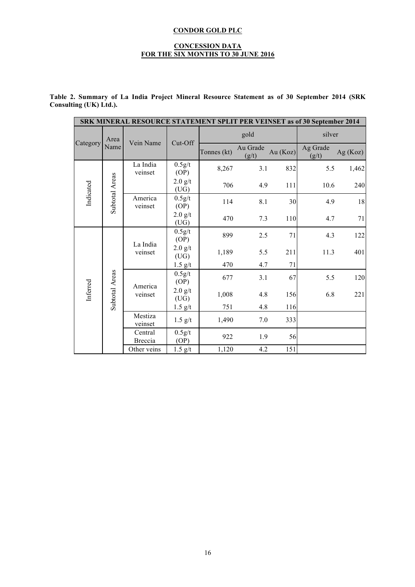#### **CONCESSION DATA FOR THE SIX MONTHS TO 30 JUNE 2016**

| Table 2. Summary of La India Project Mineral Resource Statement as of 30 September 2014 (SRK |  |  |  |  |  |
|----------------------------------------------------------------------------------------------|--|--|--|--|--|
| Consulting (UK) Ltd.).                                                                       |  |  |  |  |  |

|           |                    | SRK MINERAL RESOURCE STATEMENT SPLIT PER VEINSET as of 30 September 2014 |                   |             |                   |          |                   |            |
|-----------|--------------------|--------------------------------------------------------------------------|-------------------|-------------|-------------------|----------|-------------------|------------|
| Category  | Area               | Vein Name                                                                | Cut-Off           |             | gold              |          | silver            |            |
|           | Name               |                                                                          |                   | Tonnes (kt) | Au Grade<br>(g/t) | Au (Koz) | Ag Grade<br>(g/t) | Ag $(Koz)$ |
|           |                    | La India<br>veinset                                                      | 0.5g/t<br>(OP)    | 8,267       | 3.1               | 832      | 5.5               | 1,462      |
| Indicated | Subtotal Areas     |                                                                          | $2.0$ g/t<br>(UG) | 706         | 4.9               | 111      | 10.6              | 240        |
|           |                    | America<br>veinset                                                       | 0.5g/t<br>(OP)    | 114         | 8.1               | 30       | 4.9               | 18         |
|           |                    | $2.0$ g/t<br>(UG)                                                        | 470               | 7.3         | 110               | 4.7      | 71                |            |
|           |                    | La India<br>veinset                                                      | 0.5g/t<br>(OP)    | 899         | 2.5               | 71       | 4.3               | 122        |
|           |                    |                                                                          | 2.0 g/t<br>(UG)   | 1,189       | 5.5               | 211      | 11.3              | 401        |
|           |                    |                                                                          | $1.5$ g/t         | 470         | 4.7               | 71       |                   |            |
|           | Subtotal Areas     | America                                                                  | 0.5g/t<br>(OP)    | 677         | 3.1               | 67       | 5.5               | 120        |
| Inferred  |                    | veinset                                                                  | $2.0$ g/t<br>(UG) | 1,008       | 4.8               | 156      | 6.8               | 221        |
|           |                    |                                                                          | $1.5$ g/t         | 751         | 4.8               | 116      |                   |            |
|           | Mestiza<br>veinset | $1.5$ g/t                                                                | 1,490             | 7.0         | 333               |          |                   |            |
|           |                    | Central<br>Breccia                                                       | 0.5g/t<br>(OP)    | 922         | 1.9               | 56       |                   |            |
|           |                    | Other veins                                                              | $1.5$ g/t         | 1,120       | 4.2               | 151      |                   |            |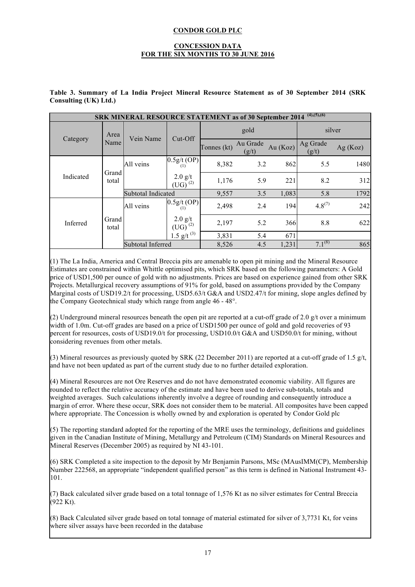#### **CONCESSION DATA FOR THE SIX MONTHS TO 30 JUNE 2016**

|           | $(4)$ , $(5)$ , $(6)$<br><b>SRK MINERAL RESOURCE STATEMENT as of 30 September 2014</b> |                    |                           |             |                   |            |                   |            |  |
|-----------|----------------------------------------------------------------------------------------|--------------------|---------------------------|-------------|-------------------|------------|-------------------|------------|--|
|           | Area                                                                                   | Vein Name          | $Cut$ -Off                |             | gold              |            |                   | silver     |  |
| Category  | Name                                                                                   |                    |                           | Tonnes (kt) | Au Grade<br>(g/t) | Au $(Koz)$ | Ag Grade<br>(g/t) | Ag $(Koz)$ |  |
|           | Grand                                                                                  | All veins          | $0.5g/t$ (OP)<br>(1)      | 8,382       | 3.2               | 862        | 5.5               | 1480       |  |
| Indicated | total                                                                                  |                    | $2.0$ g/t<br>$(UG)^{(2)}$ | 1,176       | 5.9               | 221        | 8.2               | 312        |  |
|           |                                                                                        | Subtotal Indicated |                           | 9,557       | 3.5               | 1,083      | 5.8               | 1792       |  |
|           |                                                                                        | All veins          | $0.5g/t$ (OP)<br>(1)      | 2,498       | 2.4               | 194        | $4.8^{(7)}$       | 242        |  |
| Inferred  | Grand<br>total                                                                         |                    | $2.0$ g/t<br>$(UG)^{(2)}$ | 2,197       | 5.2               | 366        | 8.8               | 622        |  |
|           |                                                                                        |                    | 1.5 g/t $(3)$             | 3,831       | 5.4               | 671        |                   |            |  |
|           |                                                                                        | Subtotal Inferred  |                           | 8,526       | 4.5               | 1,231      | $7.1^{(8)}$       | 865        |  |

## **Table 3. Summary of La India Project Mineral Resource Statement as of 30 September 2014 (SRK Consulting (UK) Ltd.)**

(1) The La India, America and Central Breccia pits are amenable to open pit mining and the Mineral Resource Estimates are constrained within Whittle optimised pits, which SRK based on the following parameters: A Gold price of USD1,500 per ounce of gold with no adjustments. Prices are based on experience gained from other SRK Projects. Metallurgical recovery assumptions of 91% for gold, based on assumptions provided by the Company Marginal costs of USD19.2/t for processing, USD5.63/t G&A and USD2.47/t for mining, slope angles defined by the Company Geotechnical study which range from angle 46 - 48°.

(2) Underground mineral resources beneath the open pit are reported at a cut-off grade of 2.0  $g/t$  over a minimum width of 1.0m. Cut-off grades are based on a price of USD1500 per ounce of gold and gold recoveries of 93 percent for resources, costs of USD19.0/t for processing, USD10.0/t G&A and USD50.0/t for mining, without considering revenues from other metals.

(3) Mineral resources as previously quoted by SRK (22 December 2011) are reported at a cut-off grade of 1.5  $g/t$ , and have not been updated as part of the current study due to no further detailed exploration.

(4) Mineral Resources are not Ore Reserves and do not have demonstrated economic viability. All figures are rounded to reflect the relative accuracy of the estimate and have been used to derive sub-totals, totals and weighted averages. Such calculations inherently involve a degree of rounding and consequently introduce a margin of error. Where these occur, SRK does not consider them to be material. All composites have been capped where appropriate. The Concession is wholly owned by and exploration is operated by Condor Gold plc

(5) The reporting standard adopted for the reporting of the MRE uses the terminology, definitions and guidelines given in the Canadian Institute of Mining, Metallurgy and Petroleum (CIM) Standards on Mineral Resources and Mineral Reserves (December 2005) as required by NI 43-101.

(6) SRK Completed a site inspection to the deposit by Mr Benjamin Parsons, MSc (MAusIMM(CP), Membership Number 222568, an appropriate "independent qualified person" as this term is defined in National Instrument 43- 101.

(7) Back calculated silver grade based on a total tonnage of 1,576 Kt as no silver estimates for Central Breccia  $(922 \text{ Kt})$ .

(8) Back Calculated silver grade based on total tonnage of material estimated for silver of 3,7731 Kt, for veins where silver assays have been recorded in the database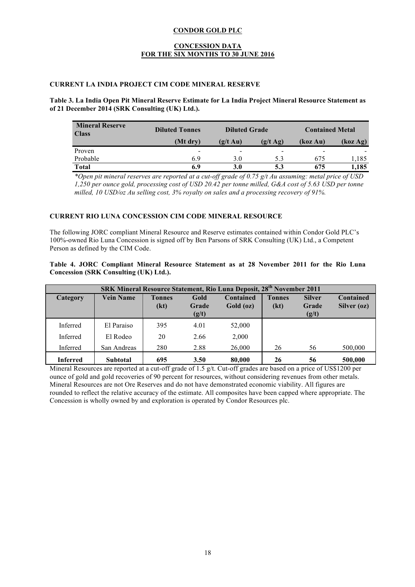#### **CONCESSION DATA FOR THE SIX MONTHS TO 30 JUNE 2016**

## **CURRENT LA INDIA PROJECT CIM CODE MINERAL RESERVE**

## **Table 3. La India Open Pit Mineral Reserve Estimate for La India Project Mineral Resource Statement as of 21 December 2014 (SRK Consulting (UK) Ltd.).**

| <b>Mineral Reserve</b><br><b>Class</b> | <b>Diluted Tonnes</b>    | <b>Contained Metal</b><br><b>Diluted Grade</b> |          |          |          |
|----------------------------------------|--------------------------|------------------------------------------------|----------|----------|----------|
|                                        | (Mt dry)                 | $(g/t \text{ Au})$                             | (g/t Ag) | (koz Au) | (koz Ag) |
| Proven                                 | $\overline{\phantom{a}}$ | $\overline{\phantom{0}}$                       | -        | -        |          |
| Probable                               | 6.9                      | 3.0                                            | 5.3      | 675      | .185     |
| <b>Total</b>                           | 6.9                      | 3.0                                            | 5.3      | 675      | 1.185    |

*\*Open pit mineral reserves are reported at a cut-off grade of 0.75 g/t Au assuming: metal price of USD 1,250 per ounce gold, processing cost of USD 20.42 per tonne milled, G&A cost of 5.63 USD per tonne milled, 10 USD/oz Au selling cost, 3% royalty on sales and a processing recovery of 91%.*

#### **CURRENT RIO LUNA CONCESSION CIM CODE MINERAL RESOURCE**

The following JORC compliant Mineral Resource and Reserve estimates contained within Condor Gold PLC's 100%-owned Rio Luna Concession is signed off by Ben Parsons of SRK Consulting (UK) Ltd., a Competent Person as defined by the CIM Code.

#### **Table 4. JORC Compliant Mineral Resource Statement as at 28 November 2011 for the Rio Luna Concession (SRK Consulting (UK) Ltd.).**

| SRK Mineral Resource Statement, Rio Luna Deposit, 28 <sup>th</sup> November 2011 |                  |                       |                        |                          |                       |                                 |                          |
|----------------------------------------------------------------------------------|------------------|-----------------------|------------------------|--------------------------|-----------------------|---------------------------------|--------------------------|
| <b>Category</b>                                                                  | <b>Vein Name</b> | <b>Tonnes</b><br>(kt) | Gold<br>Grade<br>(g/t) | Contained<br>$Gold$ (oz) | <b>Tonnes</b><br>(kt) | <b>Silver</b><br>Grade<br>(g/t) | Contained<br>Silver (oz) |
| Inferred                                                                         | El Paraiso       | 395                   | 4.01                   | 52,000                   |                       |                                 |                          |
| Inferred                                                                         | El Rodeo         | 20                    | 2.66                   | 2,000                    |                       |                                 |                          |
| Inferred                                                                         | San Andreas      | 280                   | 2.88                   | 26,000                   | 26                    | 56                              | 500,000                  |
| <b>Inferred</b>                                                                  | <b>Subtotal</b>  | 695                   | 3.50                   | 80,000                   | 26                    | 56                              | 500,000                  |

Mineral Resources are reported at a cut-off grade of 1.5 g/t. Cut-off grades are based on a price of US\$1200 per ounce of gold and gold recoveries of 90 percent for resources, without considering revenues from other metals. Mineral Resources are not Ore Reserves and do not have demonstrated economic viability. All figures are rounded to reflect the relative accuracy of the estimate. All composites have been capped where appropriate. The Concession is wholly owned by and exploration is operated by Condor Resources plc.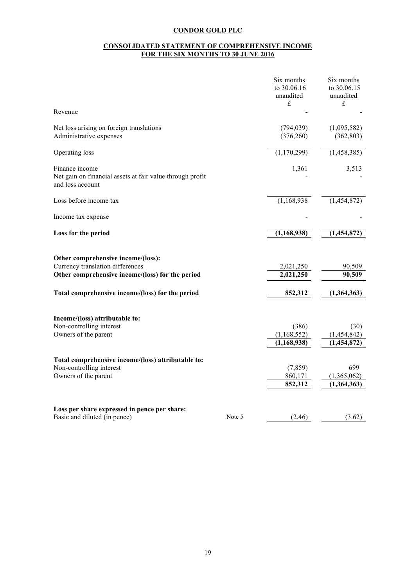#### **CONSOLIDATED STATEMENT OF COMPREHENSIVE INCOME FOR THE SIX MONTHS TO 30 JUNE 2016**

|                                                                                                                            | Six months<br>to 30.06.16<br>unaudited<br>$\pounds$ | Six months<br>to 30.06.15<br>unaudited<br>$\pounds$ |
|----------------------------------------------------------------------------------------------------------------------------|-----------------------------------------------------|-----------------------------------------------------|
| Revenue                                                                                                                    |                                                     |                                                     |
| Net loss arising on foreign translations<br>Administrative expenses                                                        | (794, 039)<br>(376, 260)                            | (1,095,582)<br>(362, 803)                           |
| Operating loss                                                                                                             | (1,170,299)                                         | (1,458,385)                                         |
| Finance income<br>Net gain on financial assets at fair value through profit<br>and loss account                            | 1,361                                               | 3,513                                               |
| Loss before income tax                                                                                                     | (1,168,938)                                         | (1,454,872)                                         |
| Income tax expense                                                                                                         |                                                     |                                                     |
| Loss for the period                                                                                                        | (1,168,938)                                         | (1,454,872)                                         |
| Other comprehensive income/(loss):<br>Currency translation differences<br>Other comprehensive income/(loss) for the period | 2,021,250<br>2,021,250                              | 90,509<br>90,509                                    |
| Total comprehensive income/(loss) for the period                                                                           | 852,312                                             | (1,364,363)                                         |
| Income/(loss) attributable to:<br>Non-controlling interest<br>Owners of the parent                                         | (386)<br>(1,168,552)<br>(1, 168, 938)               | (30)<br>(1,454,842)<br>(1,454,872)                  |
| Total comprehensive income/(loss) attributable to:<br>Non-controlling interest<br>Owners of the parent                     | (7, 859)<br>860,171<br>852,312                      | 699<br>(1,365,062)<br>(1,364,363)                   |
| Loss per share expressed in pence per share:<br>Basic and diluted (in pence)                                               | Note 5<br>(2.46)                                    | (3.62)                                              |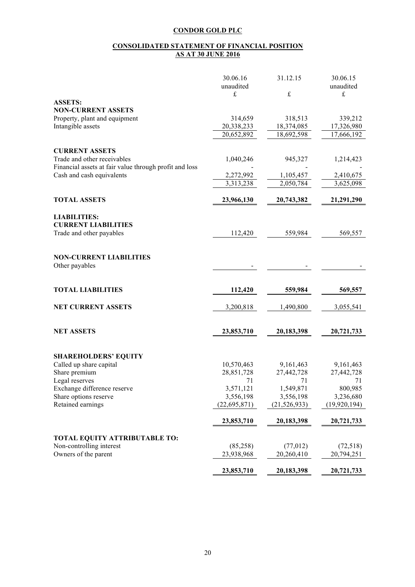#### **CONSOLIDATED STATEMENT OF FINANCIAL POSITION AS AT 30 JUNE 2016**

|                                                        | 30.06.16<br>unaudited | 31.12.15       | 30.06.15<br>unaudited |
|--------------------------------------------------------|-----------------------|----------------|-----------------------|
|                                                        | £                     | $\pounds$      | £                     |
| <b>ASSETS:</b>                                         |                       |                |                       |
| <b>NON-CURRENT ASSETS</b>                              |                       |                |                       |
| Property, plant and equipment                          | 314,659               | 318,513        | 339,212               |
| Intangible assets                                      | 20,338,233            | 18,374,085     | 17,326,980            |
|                                                        | 20,652,892            | 18,692,598     | 17,666,192            |
|                                                        |                       |                |                       |
| <b>CURRENT ASSETS</b><br>Trade and other receivables   |                       |                |                       |
| Financial assets at fair value through profit and loss | 1,040,246             | 945,327        | 1,214,423             |
| Cash and cash equivalents                              | 2,272,992             | 1,105,457      | 2,410,675             |
|                                                        | 3,313,238             | 2,050,784      | 3,625,098             |
|                                                        |                       |                |                       |
| <b>TOTAL ASSETS</b>                                    | 23,966,130            | 20,743,382     | 21,291,290            |
| <b>LIABILITIES:</b>                                    |                       |                |                       |
| <b>CURRENT LIABILITIES</b>                             |                       |                |                       |
| Trade and other payables                               | 112,420               | 559,984        | 569,557               |
|                                                        |                       |                |                       |
|                                                        |                       |                |                       |
| <b>NON-CURRENT LIABILITIES</b>                         |                       |                |                       |
| Other payables                                         |                       |                |                       |
|                                                        |                       |                |                       |
| <b>TOTAL LIABILITIES</b>                               | 112,420               | 559,984        | 569,557               |
|                                                        |                       |                |                       |
| <b>NET CURRENT ASSETS</b>                              | 3,200,818             | 1,490,800      | 3,055,541             |
|                                                        |                       |                |                       |
|                                                        |                       |                |                       |
| <b>NET ASSETS</b>                                      | 23,853,710            | 20,183,398     | 20,721,733            |
|                                                        |                       |                |                       |
| <b>SHAREHOLDERS' EQUITY</b>                            |                       |                |                       |
| Called up share capital                                | 10,570,463            | 9,161,463      | 9,161,463             |
| Share premium                                          | 28,851,728            | 27,442,728     | 27,442,728            |
| Legal reserves                                         | 71                    | 71             | 71                    |
| Exchange difference reserve                            | 3,571,121             | 1,549,871      | 800,985               |
| Share options reserve                                  | 3,556,198             | 3,556,198      | 3,236,680             |
| Retained earnings                                      | (22,695,871)          | (21, 526, 933) | (19, 920, 194)        |
|                                                        |                       |                |                       |
|                                                        | 23,853,710            | 20,183,398     | 20,721,733            |
| <b>TOTAL EQUITY ATTRIBUTABLE TO:</b>                   |                       |                |                       |
| Non-controlling interest                               | (85,258)              | (77, 012)      | (72,518)              |
| Owners of the parent                                   | 23,938,968            | 20,260,410     | 20,794,251            |
|                                                        |                       |                |                       |
|                                                        | 23,853,710            | 20,183,398     | 20,721,733            |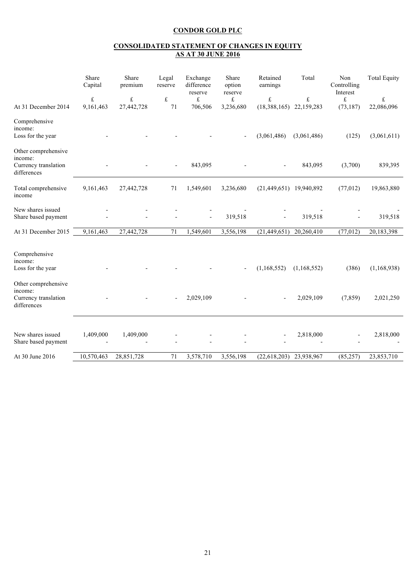## **CONSOLIDATED STATEMENT OF CHANGES IN EQUITY AS AT 30 JUNE 2016**

|                                                                       | Share<br>Capital       | Share<br>premium        | Legal<br>reserve                | Exchange<br>difference<br>reserve | Share<br>option<br>reserve | Retained<br>earnings         | Total           | Non<br>Controlling<br>Interest | <b>Total Equity</b>     |
|-----------------------------------------------------------------------|------------------------|-------------------------|---------------------------------|-----------------------------------|----------------------------|------------------------------|-----------------|--------------------------------|-------------------------|
| At 31 December 2014                                                   | $\pounds$<br>9,161,463 | $\pounds$<br>27,442,728 | $\ensuremath{\mathbf{f}}$<br>71 | £<br>706,506                      | $\pounds$<br>3,236,680     | $\frak{t}$<br>(18, 388, 165) | £<br>22,159,283 | £<br>(73, 187)                 | $\pounds$<br>22,086,096 |
| Comprehensive<br>income:<br>Loss for the year                         |                        |                         |                                 |                                   |                            | (3,061,486)                  | (3,061,486)     | (125)                          | (3,061,611)             |
| Other comprehensive<br>income:<br>Currency translation<br>differences |                        |                         |                                 | 843,095                           |                            |                              | 843,095         | (3,700)                        | 839,395                 |
| Total comprehensive<br>income                                         | 9,161,463              | 27,442,728              | 71                              | 1,549,601                         | 3,236,680                  | (21, 449, 651)               | 19,940,892      | (77, 012)                      | 19,863,880              |
| New shares issued<br>Share based payment                              |                        |                         |                                 |                                   | 319,518                    |                              | 319,518         |                                | 319,518                 |
| At 31 December 2015                                                   | 9,161,463              | 27,442,728              | 71                              | 1,549,601                         | 3,556,198                  | (21, 449, 651)               | 20,260,410      | (77, 012)                      | 20,183,398              |
| Comprehensive<br>income:<br>Loss for the year                         |                        |                         |                                 |                                   |                            | (1,168,552)                  | (1,168,552)     | (386)                          | (1,168,938)             |
| Other comprehensive<br>income:<br>Currency translation<br>differences |                        |                         |                                 | 2,029,109                         |                            |                              | 2,029,109       | (7, 859)                       | 2,021,250               |
| New shares issued<br>Share based payment                              | 1,409,000              | 1,409,000               |                                 |                                   |                            |                              | 2,818,000       |                                | 2,818,000               |
| At 30 June 2016                                                       | 10,570,463             | 28,851,728              | 71                              | 3,578,710                         | 3,556,198                  | (22, 618, 203)               | 23,938,967      | (85, 257)                      | 23,853,710              |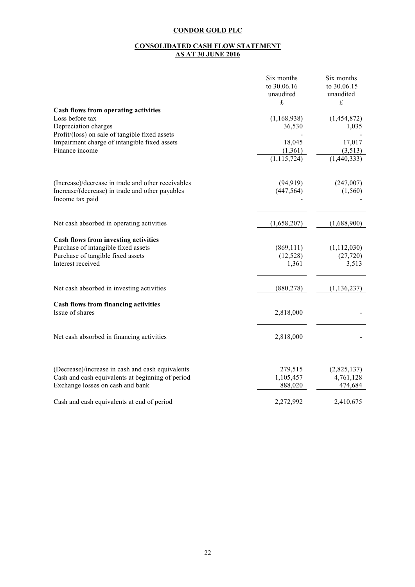#### **CONSOLIDATED CASH FLOW STATEMENT AS AT 30 JUNE 2016**

|                                                    | Six months    | Six months    |
|----------------------------------------------------|---------------|---------------|
|                                                    | to 30.06.16   | to 30.06.15   |
|                                                    | unaudited     | unaudited     |
|                                                    | £             | £             |
| Cash flows from operating activities               |               |               |
| Loss before tax                                    | (1,168,938)   | (1,454,872)   |
| Depreciation charges                               | 36,530        | 1,035         |
| Profit/(loss) on sale of tangible fixed assets     |               |               |
| Impairment charge of intangible fixed assets       | 18,045        | 17,017        |
| Finance income                                     | (1, 361)      | (3,513)       |
|                                                    | (1, 115, 724) | (1,440,333)   |
| (Increase)/decrease in trade and other receivables | (94, 919)     | (247,007)     |
| Increase/(decrease) in trade and other payables    | (447, 564)    | (1, 560)      |
| Income tax paid                                    |               |               |
| Net cash absorbed in operating activities          | (1,658,207)   | (1,688,900)   |
|                                                    |               |               |
| Cash flows from investing activities               |               |               |
| Purchase of intangible fixed assets                | (869, 111)    | (1, 112, 030) |
| Purchase of tangible fixed assets                  | (12, 528)     | (27, 720)     |
| Interest received                                  | 1,361         | 3,513         |
| Net cash absorbed in investing activities          | (880, 278)    | (1, 136, 237) |
| <b>Cash flows from financing activities</b>        |               |               |
| Issue of shares                                    | 2,818,000     |               |
| Net cash absorbed in financing activities          | 2,818,000     |               |
|                                                    |               |               |
| (Decrease)/increase in cash and cash equivalents   | 279,515       | (2,825,137)   |
| Cash and cash equivalents at beginning of period   | 1,105,457     | 4,761,128     |
| Exchange losses on cash and bank                   | 888,020       | 474,684       |
| Cash and cash equivalents at end of period         | 2,272,992     | 2,410,675     |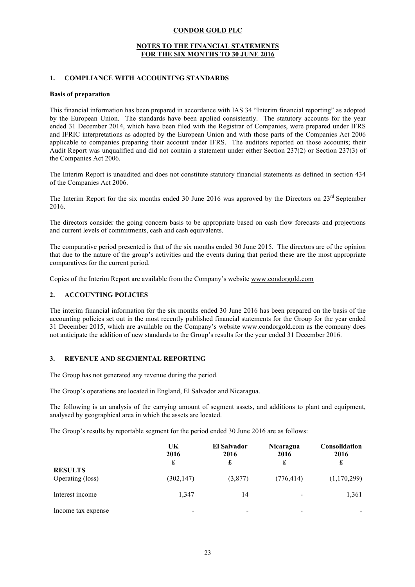#### **NOTES TO THE FINANCIAL STATEMENTS FOR THE SIX MONTHS TO 30 JUNE 2016**

#### **1. COMPLIANCE WITH ACCOUNTING STANDARDS**

#### **Basis of preparation**

This financial information has been prepared in accordance with IAS 34 "Interim financial reporting" as adopted by the European Union. The standards have been applied consistently. The statutory accounts for the year ended 31 December 2014, which have been filed with the Registrar of Companies, were prepared under IFRS and IFRIC interpretations as adopted by the European Union and with those parts of the Companies Act 2006 applicable to companies preparing their account under IFRS. The auditors reported on those accounts; their Audit Report was unqualified and did not contain a statement under either Section 237(2) or Section 237(3) of the Companies Act 2006.

The Interim Report is unaudited and does not constitute statutory financial statements as defined in section 434 of the Companies Act 2006.

The Interim Report for the six months ended 30 June 2016 was approved by the Directors on 23<sup>rd</sup> September 2016.

The directors consider the going concern basis to be appropriate based on cash flow forecasts and projections and current levels of commitments, cash and cash equivalents.

The comparative period presented is that of the six months ended 30 June 2015. The directors are of the opinion that due to the nature of the group's activities and the events during that period these are the most appropriate comparatives for the current period.

Copies of the Interim Report are available from the Company's website www.condorgold.com

# **2. ACCOUNTING POLICIES**

The interim financial information for the six months ended 30 June 2016 has been prepared on the basis of the accounting policies set out in the most recently published financial statements for the Group for the year ended 31 December 2015, which are available on the Company's website www.condorgold.com as the company does not anticipate the addition of new standards to the Group's results for the year ended 31 December 2016.

#### **3. REVENUE AND SEGMENTAL REPORTING**

The Group has not generated any revenue during the period.

The Group's operations are located in England, El Salvador and Nicaragua.

The following is an analysis of the carrying amount of segment assets, and additions to plant and equipment, analysed by geographical area in which the assets are located.

The Group's results by reportable segment for the period ended 30 June 2016 are as follows:

|                                    | UK<br>2016<br>£ | El Salvador<br>2016<br>£ | Nicaragua<br>2016<br>£   | <b>Consolidation</b><br>2016<br>£ |
|------------------------------------|-----------------|--------------------------|--------------------------|-----------------------------------|
| <b>RESULTS</b><br>Operating (loss) | (302, 147)      | (3,877)                  | (776, 414)               | (1,170,299)                       |
| Interest income                    | 1,347           | 14                       | $\overline{\phantom{a}}$ | 1,361                             |
| Income tax expense                 |                 |                          |                          |                                   |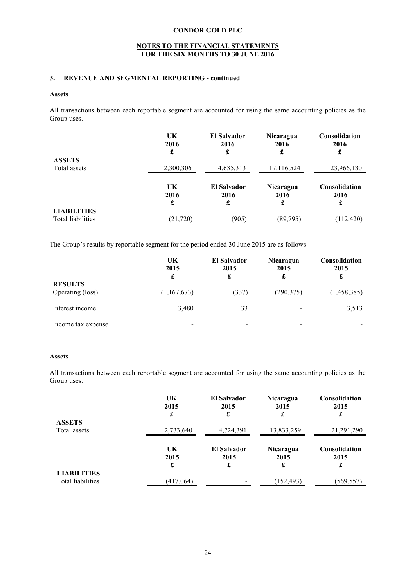#### **NOTES TO THE FINANCIAL STATEMENTS FOR THE SIX MONTHS TO 30 JUNE 2016**

## **3. REVENUE AND SEGMENTAL REPORTING - continued**

#### **Assets**

All transactions between each reportable segment are accounted for using the same accounting policies as the Group uses.

|                                         | UK<br>2016<br>£ | <b>El Salvador</b><br>2016<br>£ | Nicaragua<br>2016<br>£        | <b>Consolidation</b><br>2016<br>£ |
|-----------------------------------------|-----------------|---------------------------------|-------------------------------|-----------------------------------|
| <b>ASSETS</b>                           |                 |                                 |                               |                                   |
| Total assets                            | 2,300,306       | 4,635,313                       | 17,116,524                    | 23,966,130                        |
|                                         | UK<br>2016<br>£ | <b>El Salvador</b><br>2016<br>£ | <b>Nicaragua</b><br>2016<br>£ | Consolidation<br>2016<br>£        |
| <b>LIABILITIES</b><br>Total liabilities | (21, 720)       | (905)                           | (89, 795)                     | (112, 420)                        |

The Group's results by reportable segment for the period ended 30 June 2015 are as follows:

|                                    | UK<br>2015<br>£ | <b>El Salvador</b><br>2015<br>£ | Nicaragua<br>2015        | <b>Consolidation</b><br>2015 |
|------------------------------------|-----------------|---------------------------------|--------------------------|------------------------------|
| <b>RESULTS</b><br>Operating (loss) | (1,167,673)     | (337)                           | (290, 375)               | (1,458,385)                  |
| Interest income                    | 3,480           | 33                              | $\overline{\phantom{a}}$ | 3,513                        |
| Income tax expense                 | -               | ٠                               | -                        |                              |

## **Assets**

All transactions between each reportable segment are accounted for using the same accounting policies as the Group uses.

| <b>ASSETS</b>                           | UK        | <b>El Salvador</b> | Nicaragua  | <b>Consolidation</b> |
|-----------------------------------------|-----------|--------------------|------------|----------------------|
|                                         | 2015      | 2015               | 2015       | 2015                 |
|                                         | £         | £                  | £          | £                    |
| Total assets                            | 2,733,640 | 4,724,391          | 13,833,259 | 21,291,290           |
|                                         | UK        | <b>El Salvador</b> | Nicaragua  | Consolidation        |
|                                         | 2015      | 2015               | 2015       | 2015                 |
|                                         | £         | £                  | £          | £                    |
| <b>LIABILITIES</b><br>Total liabilities | (417,064) |                    | (152, 493) | (569, 557)           |